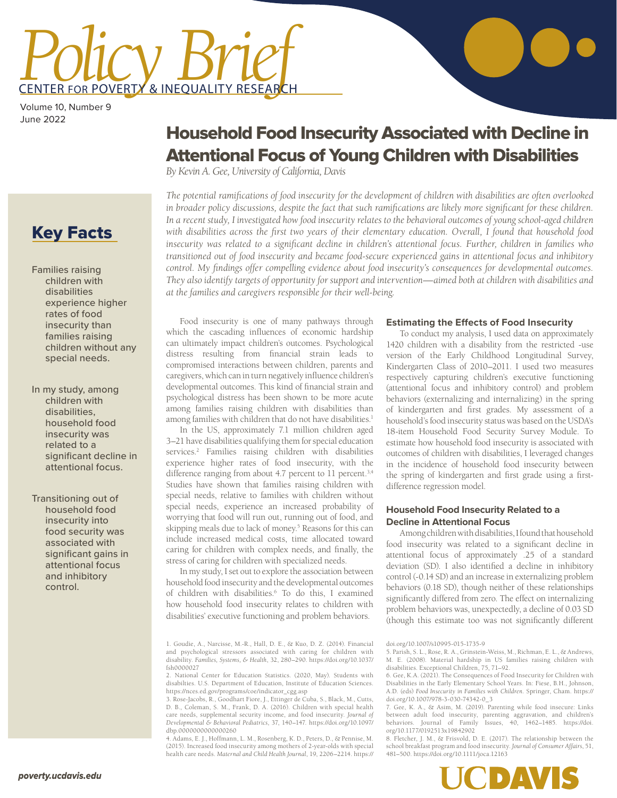

Volume 10, Number 9 June 2022

# Household Food Insecurity Associated with Decline in Attentional Focus of Young Children with Disabilities

*The potential ramifications of food insecurity for the development of children with disabilities are often overlooked*  in broader policy discussions, despite the fact that such ramifications are likely more significant for these children. *In a recent study, I investigated how food insecurity relates to the behavioral outcomes of young school-aged children*  with disabilities across the first two years of their elementary education. Overall, I found that household food *insecurity was related to a significant decline in children's attentional focus. Further, children in families who transitioned out of food insecurity and became food-secure experienced gains in attentional focus and inhibitory control. My findings offer compelling evidence about food insecurity's consequences for developmental outcomes. They also identify targets of opportunity for support and intervention—aimed both at children with disabilities and* 

*By Kevin A. Gee, University of California, Davis*

## Key Facts

Families raising children with disabilities experience higher rates of food insecurity than families raising children without any special needs.

In my study, among children with disabilities, household food insecurity was related to a significant decline in attentional focus.

Transitioning out of household food insecurity into food security was associated with significant gains in attentional focus and inhibitory control.

Food insecurity is one of many pathways through which the cascading influences of economic hardship can ultimately impact children's outcomes. Psychological distress resulting from financial strain leads to compromised interactions between children, parents and caregivers, which can in turn negatively influence children's developmental outcomes. This kind of financial strain and psychological distress has been shown to be more acute among families raising children with disabilities than among families with children that do not have disabilities.<sup>1</sup>

*at the families and caregivers responsible for their well-being.*

In the US, approximately 7.1 million children aged 3–21 have disabilities qualifying them for special education services.<sup>2</sup> Families raising children with disabilities experience higher rates of food insecurity, with the difference ranging from about 4.7 percent to 11 percent.<sup>3,4</sup> Studies have shown that families raising children with special needs, relative to families with children without special needs, experience an increased probability of worrying that food will run out, running out of food, and skipping meals due to lack of money.<sup>5</sup> Reasons for this can include increased medical costs, time allocated toward caring for children with complex needs, and finally, the stress of caring for children with specialized needs.

In my study, I set out to explore the association between household food insecurity and the developmental outcomes of children with disabilities.<sup>6</sup> To do this, I examined how household food insecurity relates to children with disabilities' executive functioning and problem behaviors.

4. Adams, E. J., Hoffmann, L. M., Rosenberg, K. D., Peters, D., & Pennise, M. (2015). Increased food insecurity among mothers of 2-year-olds with special health care needs. *Maternal and Child Health Journal*, 19, 2206–2214. https://

#### **Estimating the Effects of Food Insecurity**

To conduct my analysis, I used data on approximately 1420 children with a disability from the restricted -use version of the Early Childhood Longitudinal Survey, Kindergarten Class of 2010–2011. I used two measures respectively capturing children's executive functioning (attentional focus and inhibitory control) and problem behaviors (externalizing and internalizing) in the spring of kindergarten and first grades. My assessment of a household's food insecurity status was based on the USDA's 18-item Household Food Security Survey Module. To estimate how household food insecurity is associated with outcomes of children with disabilities, I leveraged changes in the incidence of household food insecurity between the spring of kindergarten and first grade using a firstdifference regression model.

#### **Household Food Insecurity Related to a Decline in Attentional Focus**

Among children with disabilities, I found that household food insecurity was related to a significant decline in attentional focus of approximately .25 of a standard deviation (SD). I also identified a decline in inhibitory control (-0.14 SD) and an increase in externalizing problem behaviors (0.18 SD), though neither of these relationships significantly differed from zero. The effect on internalizing problem behaviors was, unexpectedly, a decline of 0.03 SD (though this estimate too was not significantly different

<sup>8.</sup> Fletcher, J. M., & Frisvold, D. E. (2017). The relationship between the school breakfast program and food insecurity. *Journal of Consumer Affairs*, 51, 481–500. https://doi.org/10.1111/joca.12163



<sup>1.</sup> Goudie, A., Narcisse, M.-R., Hall, D. E., & Kuo, D. Z. (2014). Financial and psychological stressors associated with caring for children with disability. *Families, Systems, & Health*, 32, 280–290. https://doi.org/10.1037/ fsh0000027

<sup>2.</sup> National Center for Education Statistics. (2020, May). Students with disabilties. U.S. Department of Education, Institute of Education Sciences. https://nces.ed.gov/programs/coe/indicator\_cgg.asp

<sup>3.</sup> Rose-Jacobs, R., Goodhart Fiore, J., Ettinger de Cuba, S., Black, M., Cutts, D. B., Coleman, S. M., Frank, D. A. (2016). Children with special health care needs, supplemental security income, and food insecurity. *Journal of Developmental & Behavioral Pediatrics*, 37, 140–147. https://doi.org/10.1097/ dbp.0000000000000260

doi.org/10.1007/s10995-015-1735-9

<sup>5.</sup> Parish, S. L., Rose, R. A., Grinstein-Weiss, M., Richman, E. L., & Andrews, M. E. (2008). Material hardship in US families raising children with disabilities. Exceptional Children, 75, 71–92.

<sup>6.</sup> Gee, K.A. (2021). The Consequences of Food Insecurity for Children with Disabilities in the Early Elementary School Years. In: Fiese, B.H., Johnson, A.D. (eds) *Food Insecurity in Families with Children*. Springer, Cham. https:// doi.org/10.1007/978-3-030-74342-0\_3

<sup>7.</sup> Gee, K. A., & Asim, M. (2019). Parenting while food insecure: Links between adult food insecurity, parenting aggravation, and children's behaviors. Journal of Family Issues, 40, 1462–1485. https://doi. org/10.1177/0192513x19842902